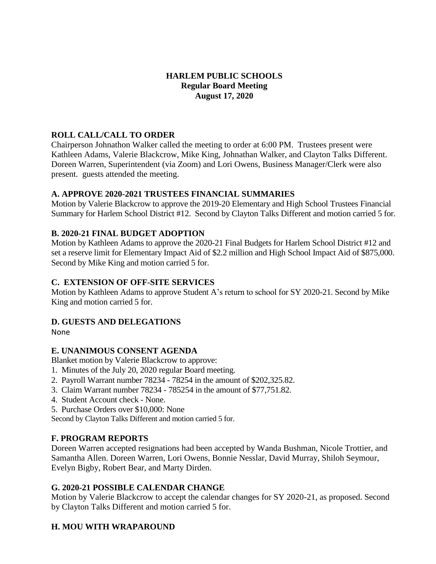### **HARLEM PUBLIC SCHOOLS Regular Board Meeting August 17, 2020**

### **ROLL CALL/CALL TO ORDER**

Chairperson Johnathon Walker called the meeting to order at 6:00 PM. Trustees present were Kathleen Adams, Valerie Blackcrow, Mike King, Johnathan Walker, and Clayton Talks Different. Doreen Warren, Superintendent (via Zoom) and Lori Owens, Business Manager/Clerk were also present. guests attended the meeting.

### **A. APPROVE 2020-2021 TRUSTEES FINANCIAL SUMMARIES**

Motion by Valerie Blackcrow to approve the 2019-20 Elementary and High School Trustees Financial Summary for Harlem School District #12. Second by Clayton Talks Different and motion carried 5 for.

### **B. 2020-21 FINAL BUDGET ADOPTION**

Motion by Kathleen Adams to approve the 2020-21 Final Budgets for Harlem School District #12 and set a reserve limit for Elementary Impact Aid of \$2.2 million and High School Impact Aid of \$875,000. Second by Mike King and motion carried 5 for.

### **C. EXTENSION OF OFF-SITE SERVICES**

Motion by Kathleen Adams to approve Student A's return to school for SY 2020-21. Second by Mike King and motion carried 5 for.

### **D. GUESTS AND DELEGATIONS**

None

### **E. UNANIMOUS CONSENT AGENDA**

Blanket motion by Valerie Blackcrow to approve:

- 1. Minutes of the July 20, 2020 regular Board meeting.
- 2. Payroll Warrant number 78234 78254 in the amount of \$202,325.82.
- 3. Claim Warrant number 78234 785254 in the amount of \$77,751.82.
- 4. Student Account check None.
- 5. Purchase Orders over \$10,000: None

Second by Clayton Talks Different and motion carried 5 for.

### **F. PROGRAM REPORTS**

Doreen Warren accepted resignations had been accepted by Wanda Bushman, Nicole Trottier, and Samantha Allen. Doreen Warren, Lori Owens, Bonnie Nesslar, David Murray, Shiloh Seymour, Evelyn Bigby, Robert Bear, and Marty Dirden.

### **G. 2020-21 POSSIBLE CALENDAR CHANGE**

Motion by Valerie Blackcrow to accept the calendar changes for SY 2020-21, as proposed. Second by Clayton Talks Different and motion carried 5 for.

# **H. MOU WITH WRAPAROUND**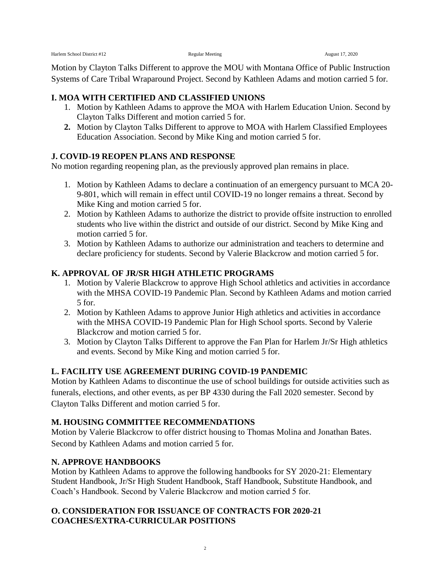Motion by Clayton Talks Different to approve the MOU with Montana Office of Public Instruction Systems of Care Tribal Wraparound Project. Second by Kathleen Adams and motion carried 5 for.

### **I. MOA WITH CERTIFIED AND CLASSIFIED UNIONS**

- 1. Motion by Kathleen Adams to approve the MOA with Harlem Education Union. Second by Clayton Talks Different and motion carried 5 for.
- **2.** Motion by Clayton Talks Different to approve to MOA with Harlem Classified Employees Education Association. Second by Mike King and motion carried 5 for.

## **J. COVID-19 REOPEN PLANS AND RESPONSE**

No motion regarding reopening plan, as the previously approved plan remains in place.

- 1. Motion by Kathleen Adams to declare a continuation of an emergency pursuant to MCA 20- 9-801, which will remain in effect until COVID-19 no longer remains a threat. Second by Mike King and motion carried 5 for.
- 2. Motion by Kathleen Adams to authorize the district to provide offsite instruction to enrolled students who live within the district and outside of our district. Second by Mike King and motion carried 5 for.
- 3. Motion by Kathleen Adams to authorize our administration and teachers to determine and declare proficiency for students. Second by Valerie Blackcrow and motion carried 5 for.

## **K. APPROVAL OF JR/SR HIGH ATHLETIC PROGRAMS**

- 1. Motion by Valerie Blackcrow to approve High School athletics and activities in accordance with the MHSA COVID-19 Pandemic Plan. Second by Kathleen Adams and motion carried 5 for.
- 2. Motion by Kathleen Adams to approve Junior High athletics and activities in accordance with the MHSA COVID-19 Pandemic Plan for High School sports. Second by Valerie Blackcrow and motion carried 5 for.
- 3. Motion by Clayton Talks Different to approve the Fan Plan for Harlem Jr/Sr High athletics and events. Second by Mike King and motion carried 5 for.

# **L. FACILITY USE AGREEMENT DURING COVID-19 PANDEMIC**

Motion by Kathleen Adams to discontinue the use of school buildings for outside activities such as funerals, elections, and other events, as per BP 4330 during the Fall 2020 semester. Second by Clayton Talks Different and motion carried 5 for.

# **M. HOUSING COMMITTEE RECOMMENDATIONS**

Motion by Valerie Blackcrow to offer district housing to Thomas Molina and Jonathan Bates. Second by Kathleen Adams and motion carried 5 for.

# **N. APPROVE HANDBOOKS**

Motion by Kathleen Adams to approve the following handbooks for SY 2020-21: Elementary Student Handbook, Jr/Sr High Student Handbook, Staff Handbook, Substitute Handbook, and Coach's Handbook. Second by Valerie Blackcrow and motion carried 5 for.

## **O. CONSIDERATION FOR ISSUANCE OF CONTRACTS FOR 2020-21 COACHES/EXTRA-CURRICULAR POSITIONS**